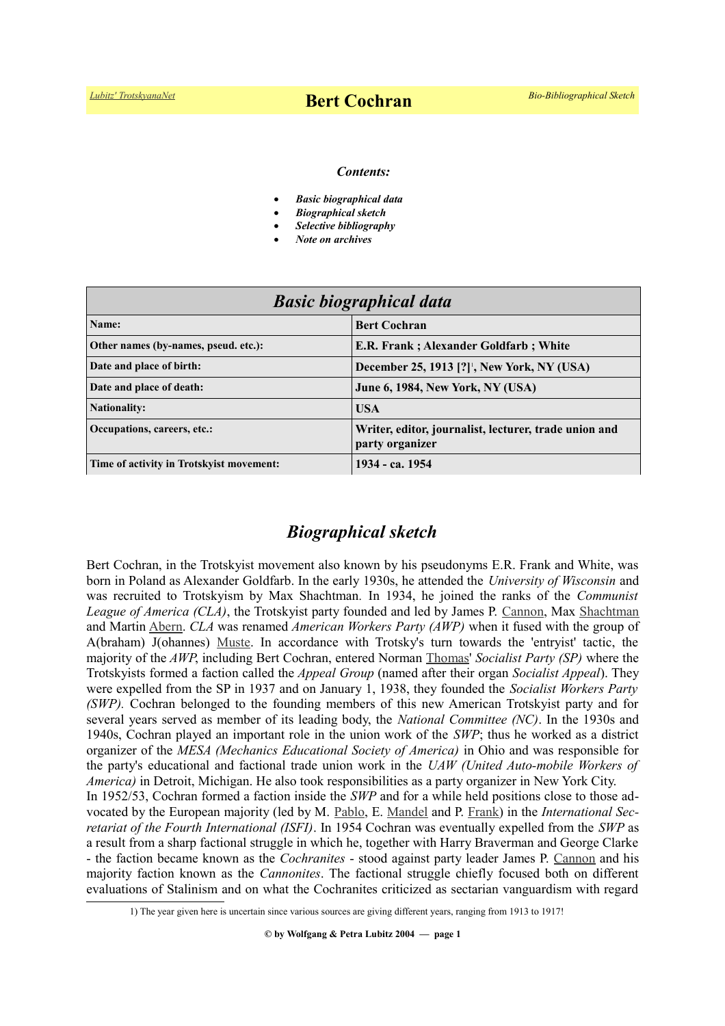#### *Contents:*

- *Basic biographical data*
- *Biographical sketch*
- *Selective bibliography*
- *Note on archives*

| <b>Basic biographical data</b>           |                                                                          |
|------------------------------------------|--------------------------------------------------------------------------|
| Name:                                    | <b>Bert Cochran</b>                                                      |
| Other names (by-names, pseud. etc.):     | E.R. Frank; Alexander Goldfarb; White                                    |
| Date and place of birth:                 | <b>December 25, 1913 [?]</b> , New York, NY (USA)                        |
| Date and place of death:                 | <b>June 6, 1984, New York, NY (USA)</b>                                  |
| <b>Nationality:</b>                      | <b>USA</b>                                                               |
| Occupations, careers, etc.:              | Writer, editor, journalist, lecturer, trade union and<br>party organizer |
| Time of activity in Trotskyist movement: | 1934 - ca. 1954                                                          |

# *Biographical sketch*

Bert Cochran, in the Trotskyist movement also known by his pseudonyms E.R. Frank and White, was born in Poland as Alexander Goldfarb. In the early 1930s, he attended the *University of Wisconsin* and was recruited to Trotskyism by Max Shachtman*.* In 1934, he joined the ranks of the *Communist League of America (CLA)*, the Trotskyist party founded and led by James P. [Cannon,](https://www.trotskyana.net/Trotskyists/Bio-Bibliographies/bio-bibl_cannon.pdf) Max [Shachtman](https://www.trotskyana.net/Trotskyists/Bio-Bibliographies/bio-bibl_shachtman.pdf) and Martin [Abern.](https://www.trotskyana.net/Trotskyists/Bio-Bibliographies/bio-bibl_abern.pdf) *CLA* was renamed *American Workers Party (AWP)* when it fused with the group of A(braham) J(ohannes) [Muste.](https://en.wikipedia.org/wiki/A._J._Muste) In accordance with Trotsky's turn towards the 'entryist' tactic, the majority of the *AWP*, including Bert Cochran, entered Norman [Thomas'](https://en.wikipedia.org/wiki/Norman_Thomas) *Socialist Party (SP)* where the Trotskyists formed a faction called the *Appeal Group* (named after their organ *Socialist Appeal*). They were expelled from the SP in 1937 and on January 1, 1938, they founded the *Socialist Workers Party (SWP).* Cochran belonged to the founding members of this new American Trotskyist party and for several years served as member of its leading body, the *National Committee (NC)*. In the 1930s and 1940s, Cochran played an important role in the union work of the *SWP*; thus he worked as a district organizer of the *MESA (Mechanics Educational Society of America)* in Ohio and was responsible for the party's educational and factional trade union work in the *UAW (United Auto-mobile Workers of America)* in Detroit, Michigan. He also took responsibilities as a party organizer in New York City. In 1952/53, Cochran formed a faction inside the *SWP* and for a while held positions close to those advocated by the European majority (led by M. [Pablo,](https://www.trotskyana.net/Trotskyists/Bio-Bibliographies/bio-bibl_pablo.pdf) E. [Mandel](https://www.trotskyana.net/Trotskyists/Ernest_Mandel/ernest_mandel.html) and P. [Frank\)](https://www.trotskyana.net/Trotskyists/Bio-Bibliographies/bio-bibl_frank.pdf) in the *International Secretariat of the Fourth International (ISFI)*. In 1954 Cochran was eventually expelled from the *SWP* as a result from a sharp factional struggle in which he, together with Harry Braverman and George Clarke - the faction became known as the *Cochranites* - stood against party leader James P. [Cannon](http://www.trotskyana.net/Trotskyists/Bio-Bibliographies/bio-bibl_cannon.pdf) and his majority faction known as the *Cannonites*. The factional struggle chiefly focused both on different evaluations of Stalinism and on what the Cochranites criticized as sectarian vanguardism with regard

<span id="page-0-0"></span><sup>1)</sup> The year given here is uncertain since various sources are giving different years, ranging from 1913 to 1917!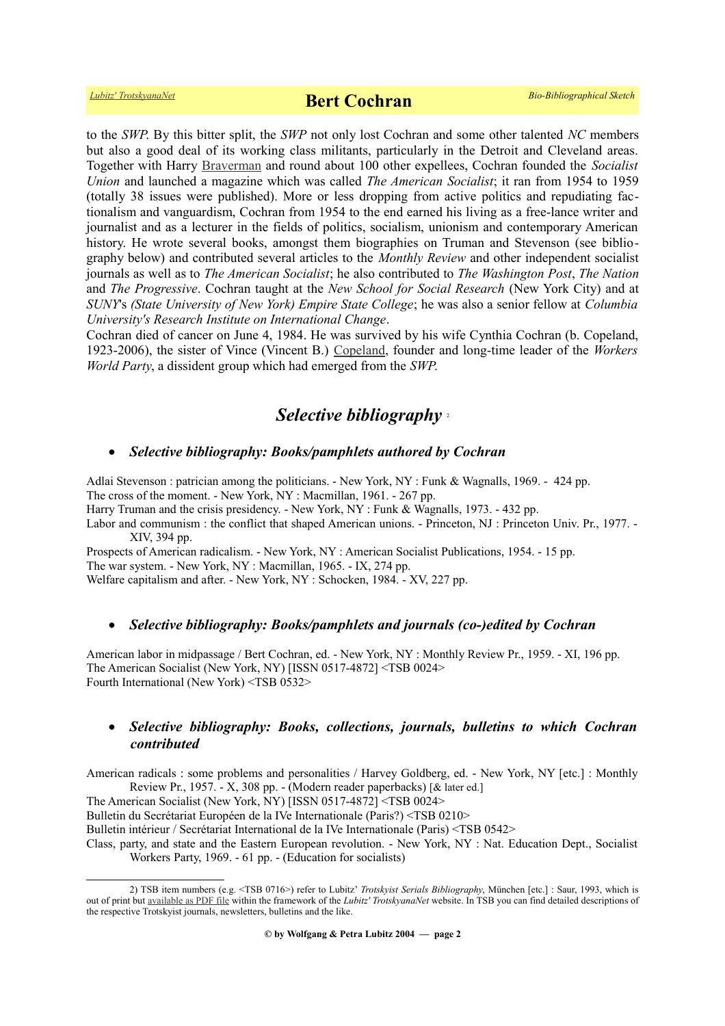to the *SWP*. By this bitter split, the *SWP* not only lost Cochran and some other talented *NC* members but also a good deal of its working class militants, particularly in the Detroit and Cleveland areas. Together with Harry [Braverman](https://en.wikipedia.org/wiki/Harry_Braverman) and round about 100 other expellees, Cochran founded the *Socialist Union* and launched a magazine which was called *The American Socialist*; it ran from 1954 to 1959 (totally 38 issues were published). More or less dropping from active politics and repudiating factionalism and vanguardism, Cochran from 1954 to the end earned his living as a free-lance writer and journalist and as a lecturer in the fields of politics, socialism, unionism and contemporary American history. He wrote several books, amongst them biographies on Truman and Stevenson (see bibliography below) and contributed several articles to the *Monthly Review* and other independent socialist journals as well as to *The American Socialist*; he also contributed to *The Washington Post*, *The Nation* and *The Progressive*. Cochran taught at the *New School for Social Research* (New York City) and at *SUNY*'s *(State University of New York) Empire State College*; he was also a senior fellow at *Columbia University's Research Institute on International Change*.

Cochran died of cancer on June 4, 1984. He was survived by his wife Cynthia Cochran (b. Copeland, 1923-2006), the sister of Vince (Vincent B.) [Copeland,](http://www.nytimes.com/1993/06/10/obituaries/vincent-copeland-77-is-dead-led-anti-war-protests-in-1960-s.html) founder and long-time leader of the *Workers World Party*, a dissident group which had emerged from the *SWP*.

### *Selective bibliography* [2](#page-1-0)

#### *Selective bibliography: Books/pamphlets authored by Cochran*

Adlai Stevenson : patrician among the politicians. - New York, NY : Funk & Wagnalls, 1969. - 424 pp. The cross of the moment. - New York, NY : Macmillan, 1961. - 267 pp.

Harry Truman and the crisis presidency. - New York, NY : Funk & Wagnalls, 1973. - 432 pp.

Labor and communism : the conflict that shaped American unions. - Princeton, NJ : Princeton Univ. Pr., 1977. -XIV, 394 pp.

Prospects of American radicalism. - New York, NY : American Socialist Publications, 1954. - 15 pp. The war system. - New York, NY : Macmillan, 1965. - IX, 274 pp. Welfare capitalism and after. - New York, NY : Schocken, 1984. - XV, 227 pp.

#### *Selective bibliography: Books/pamphlets and journals (co-)edited by Cochran*

American labor in midpassage / Bert Cochran, ed. - New York, NY : Monthly Review Pr., 1959. - XI, 196 pp. The American Socialist (New York, NY) [ISSN 0517-4872] <TSB 0024> Fourth International (New York) <TSB 0532>

### *Selective bibliography: Books, collections, journals, bulletins to which Cochran contributed*

American radicals : some problems and personalities / Harvey Goldberg, ed. - New York, NY [etc.] : Monthly Review Pr., 1957. - X, 308 pp. - (Modern reader paperbacks) [& later ed.]

The American Socialist (New York, NY) [ISSN 0517-4872] <TSB 0024>

Bulletin du Secrétariat Européen de la IVe Internationale (Paris?) <TSB 0210>

Bulletin intérieur / Secrétariat International de la IVe Internationale (Paris) <TSB 0542>

Class, party, and state and the Eastern European revolution. - New York, NY : Nat. Education Dept., Socialist Workers Party, 1969. - 61 pp. - (Education for socialists)

<span id="page-1-0"></span><sup>2)</sup> TSB item numbers (e.g. <TSB 0716>) refer to Lubitz' *Trotskyist Serials Bibliography*, München [etc.] : Saur, 1993, which is out of print but [available as PDF file](https://www.trotskyana.net/LubitzBibliographies/Serials_Bibliography/serials_bibliography.htm#PDF) within the framework of the *Lubitz' TrotskyanaNet* website. In TSB you can find detailed descriptions of the respective Trotskyist journals, newsletters, bulletins and the like.